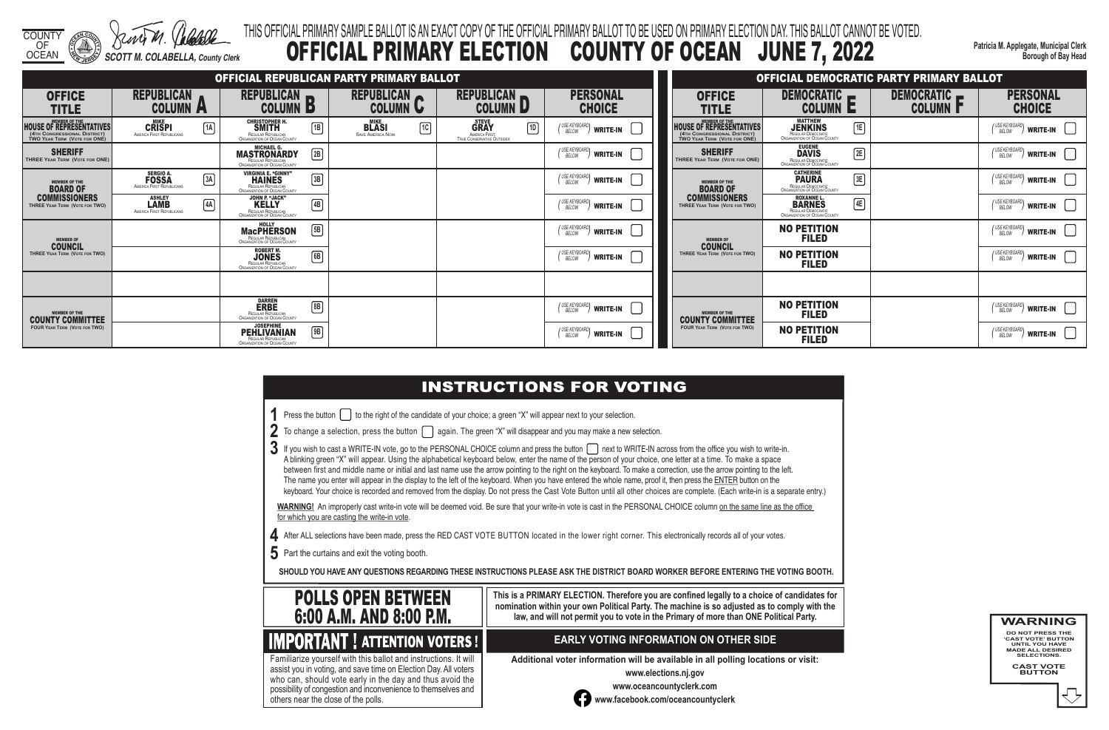COUNTY OF OCEAN *SCOTT M. COLABELLA, County Clerk*

**Patricia M. Applegate, Municipal Clerk Borough of Bay Head**

- 
- 
- 
- 

# THIS OFFICIAL PRIMARY SAMPLE BALLOT IS AN EXACT COPY OF THE OFFICIAL PRIMARY BALLOT TO BE USED ON PRIMARY ELECTION DAY. THIS BALLOT CANNOT BE VOTED. OFFICIAL PRIMARY ELECTION COUNTY OF OCEAN JUNE 7, 2022

3 If you wish to cast a WRITE-IN vote, go to the PERSONAL CHOICE column and press the button next to WRITE-IN across from the office you wish to write-in. A blinking green "X" will appear. Using the alphabetical keyboard below, enter the name of the person of your choice, one letter at a time. To make a space between first and middle name or initial and last name use the arrow pointing to the right on the keyboard. To make a correction, use the arrow pointing to the left. The name you enter will appear in the display to the left of the keyboard. When you have entered the whole name, proof it, then press the ENTER button on the keyboard. Your choice is recorded and removed from the display. Do not press the Cast Vote Button until all other choices are complete. (Each write-in is a separate entry.)

WARNING! An improperly cast write-in vote will be deemed void. Be sure that your write-in vote is cast in the PERSONAL CHOICE column on the same line as the office for which you are casting the write-in vote.

**4** After ALL selections have been made, press the RED CAST VOTE BUTTON located in the lower right corner. This electronically records all of your votes.

**5** Part the curtains and exit the voting booth.

**SHOULD YOU HAVE ANY QUESTIONS REGARDING THESE INSTRUCTIONS PLEASE ASK THE DISTRICT BOARD WORKER BEFORE ENTERING THE VOTING BOOTH.**

**This is a PRIMARY ELECTION. Therefore you are confined legally to a choice of candidates for nomination within your own Political Party. The machine is so adjusted as to comply with the law, and will not permit you to vote in the Primary of more than ONE Political Party.**

 assist you in voting, and save time on Election Day. All voters Familiarize yourself with this ballot and instructions. It will who can, should vote early in the day and thus avoid the possibility of congestion and inconvenience to themselves and others near the close of the polls.

## **EARLY VOTING INFORMATION ON OTHER SIDE**

**Additional voter information will be available in all polling locations or visit:**

**www.elections.nj.gov** 



**www.oceancountyclerk.com <sup>w</sup>ww.facebook.com/oceancountyclerk** **WARNING DO NOT PRESS THE** 



**'CAST VOTE' BUTTON UNTIL YOU HAVE MADE ALL DESIRED SELECTIONS. CAST VOTE BUTTON**



**IMPORTANT ! ATTENTION VOTERS !** 

|                                                                                                        |                                                                               | OFFICIAL REPUBLICAN PARTY PRIMARY BALLOT                                                                          | OFFICIAL DEMOCRATIC PARTY PRIMARY BALLOT      |                                                                             |                                              |                                                                           |                                                                                        |                                        |                                                                                         |  |
|--------------------------------------------------------------------------------------------------------|-------------------------------------------------------------------------------|-------------------------------------------------------------------------------------------------------------------|-----------------------------------------------|-----------------------------------------------------------------------------|----------------------------------------------|---------------------------------------------------------------------------|----------------------------------------------------------------------------------------|----------------------------------------|-----------------------------------------------------------------------------------------|--|
| <b>OFFICE</b><br><b>TITLE</b>                                                                          | <b>REPUBLICAN</b><br><b>COLUMN A</b>                                          | REPUBLICAN R<br><b>COLUMN D</b>                                                                                   | REPUBLICAN<br><b>COLUMN U</b>                 | REPUBLICAN<br><b>COLUMN D</b>                                               | <b>PERSONAL</b><br><b>CHOICE</b>             | <b>OFFICE</b><br><b>TITLE</b>                                             | DEMOCRATIC <b>_</b><br><b>COLUMN E</b>                                                 | DEMOCRATIC <b>P</b><br><b>COLUMN F</b> | <b>PERSONAL</b><br><b>CHOICE</b>                                                        |  |
| MEMBER OF THE HOUSE OF REPRESENTATIVES<br>(4TH CONGRESSIONAL DISTRICT)<br>TWO YEAR TERM (VOTE FOR ONE) | MIKE<br>CRISPI<br>AMERICA FIRST REPUBLICANS<br>1A                             | <b>CHRISTOPHER H</b><br><b>SMITH</b><br>$\boxed{1B}$<br>REGULAR REPUBLICAN<br>ORGANIZATION OF OCEAN COUNTY        | 1C<br><b>BLASI</b><br><b>SAVE AMERICA NOW</b> | $\boxed{1D}$<br><b>GRAY</b><br>AMERICA FIRST:<br>TRUE CONSERVATIVE OUTSIDER | (USE KEYBOARD)<br>BELOW<br>WRITE-IN          | MEMBER OF THE<br>HOUSE OF REPRESENTATIVES<br>TWO YEAR TERM (VOTE FOR ONE) | MATTHEW<br><b>JENKINS</b><br>REGULAR DEMOCRATIC<br>ORGANIZATION OF OCEAN COUNTY<br>E   |                                        | $\begin{pmatrix} \text{USE KEYBOARD} \\ \text{BELOW} \end{pmatrix}$ WRITE-IN            |  |
| <b>SHERIFF</b><br>THREE YEAR TERM (VOTE FOR ONE)                                                       |                                                                               | <b>MASTRONARDY</b><br>2B<br>REGULAR REPUBLICAN<br>ORGANIZATION OF OCEAN COUNTY                                    |                                               |                                                                             | (USE KEYBOARD)<br>BELOW<br>WRITE-IN          | <b>SHERIFF</b><br>THREE YEAR TERM (VOTE FOR ONE)                          | EUGENE<br>DAVIS<br>REGULAR DEMOCRATIC<br>ORGANIZATION OF OCEAN COUNTY<br>2E            |                                        | (USE KEYBOARD)<br>BELOW<br>$\sqrt{2}$ write-in $\boxed{ }$                              |  |
| <b>MEMBER OF THE</b><br><b>BOARD OF</b>                                                                | <b>SERGIO A.</b><br><b>FOSSA</b><br>$\boxed{3A}$<br>AMERICA FIRST REPUBLICANS | <b>VIRGINIA E. "GINNY"</b><br><b>HAINES</b><br>$\boxed{3B}$<br>REGULAR REPUBLICAN<br>ORGANIZATION OF OCEAN COUNTY |                                               |                                                                             | (USE KEYBOARD)<br>BELOW<br>write-in          | <b>MEMBER OF THE</b><br><b>BOARD OF</b>                                   | <b>CATHERINE</b><br>$\boxed{3E}$<br>REGULAR DEMOCRATIC<br>ORGANIZATION OF OCEAN COUNTY |                                        | USE KEYBOARD<br>BELOW<br>$\mathcal{V}$ write-in $\ $                                    |  |
| <b>COMMISSIONERS</b><br>THREE YEAR TERM (VOTE FOR TWO)                                                 | <b>ASHLEY</b><br><b>LAMB</b><br>4A<br>AMERICA FIRST REPUBLICANS               | <b>JOHN P. "JACK"</b><br>$\boxed{4B}$<br>REGULAR REPUBLICAN<br>ORGANIZATION OF OCEAN COUNTY                       |                                               |                                                                             | (USE KEYBOARD)<br>write-in                   | <b>COMMISSIONERS</b><br>THREE YEAR TERM (VOTE FOR TWO)                    | ROXANNE L.<br>BARNES<br>4E<br>REGULAR DEMOCRATIC<br>ORGANIZATION OF OCEAN COUNTY       |                                        | (USE KEYBOARD)<br>$^{\prime\prime}$ write-in $\parallel$ $\parallel$                    |  |
| <b>COUNCIL</b><br>THREE YEAR TERM (VOTE FOR TWO)                                                       |                                                                               | <b>MacPHERSON</b><br>$\boxed{5B}$<br>REGULAR REPUBLICAN<br>ORGANIZATION OF OCEAN COUNTY                           |                                               |                                                                             | (USE KEYBOARD)<br>BELOW<br>write-in          | <b>MEMBER OF</b><br><b>COUNCIL</b>                                        | <b>NO PETITION</b><br><b>FILED</b>                                                     |                                        | (USE KEYBOARD)<br>BELOW<br>$^{\prime\prime}$ write-in $ $ $ $                           |  |
|                                                                                                        |                                                                               | ROBERT M.<br><b>JONES</b><br>6B<br>REGULAR REPUBLICAN<br>ORGANIZATION OF OCEAN COUNTY                             |                                               |                                                                             | (USE KEYBOARD)<br>$^{\prime\prime}$ write-in | THREE YEAR TERM (VOTE FOR TWO)                                            | <b>NO PETITION</b><br><b>FILED</b>                                                     |                                        | $\begin{pmatrix} \text{USE KEYBOARD} \\ \text{BELOW} \end{pmatrix}$ WRITE-IN            |  |
|                                                                                                        |                                                                               |                                                                                                                   |                                               |                                                                             |                                              |                                                                           |                                                                                        |                                        |                                                                                         |  |
| <b>MEMBER OF THE</b><br><b>COUNTY COMMITTEE</b><br><b>FOUR YEAR TERM (VOTE FOR TWO)</b>                |                                                                               | <b>DARREN</b><br>$\boxed{8B}$<br><b>ERBE</b><br>REGULAR REPUBLICAN<br><b>ORGANIZATION OF OCEAN COUNTY</b>         |                                               |                                                                             | $\binom{USE KEVBOARD}{BELOW}$ write-in       | <b>MEMBER OF THE</b><br><b>COUNTY COMMITTEE</b>                           | <b>NO PETITION</b><br><b>FILED</b>                                                     |                                        | $\begin{pmatrix} \text{USE KEYBOARD} \\ \text{BELOW} \end{pmatrix}$ WRITE-IN            |  |
|                                                                                                        |                                                                               | <b>JOSEPHINE</b><br><b>PEHLIVANIAN</b><br>$\boxed{9B}$<br>REGULAR REPUBLICAN<br>ORGANIZATION OF OCEAN COUNTY      |                                               |                                                                             | (USE KEYBOARD)<br>BELOW<br>write-in          | <b>FOUR YEAR TERM (VOTE FOR TWO)</b>                                      | <b>NO PETITION</b><br><b>FILED</b>                                                     |                                        | (USE KEYBOARD)<br>BELOW<br>$\frac{1}{2}$ write-in $\begin{bmatrix} 1 & 1 \end{bmatrix}$ |  |

# **INSTRUCTIONS FOR VOTING**

**1** Press the button  $\Box$  to the right of the candidate of your choice; a green "X" will appear next to your selection.

2 To change a selection, press the button  $\Box$  again. The green "X" will disappear and you may make a new selection.